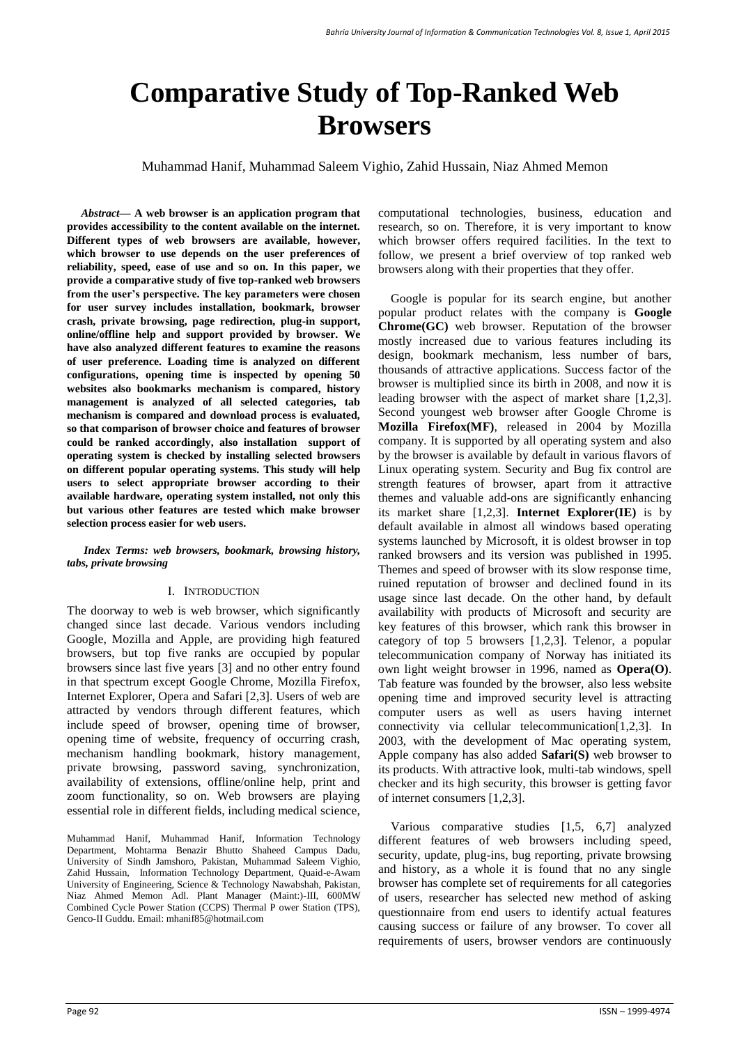# **Comparative Study of Top-Ranked Web Browsers**

Muhammad Hanif, Muhammad Saleem Vighio, Zahid Hussain, Niaz Ahmed Memon

*Abstract***— A web browser is an application program that provides accessibility to the content available on the internet. Different types of web browsers are available, however, which browser to use depends on the user preferences of reliability, speed, ease of use and so on. In this paper, we provide a comparative study of five top-ranked web browsers from the user's perspective. The key parameters were chosen for user survey includes installation, bookmark, browser crash, private browsing, page redirection, plug-in support, online/offline help and support provided by browser. We have also analyzed different features to examine the reasons of user preference. Loading time is analyzed on different configurations, opening time is inspected by opening 50 websites also bookmarks mechanism is compared, history management is analyzed of all selected categories, tab mechanism is compared and download process is evaluated, so that comparison of browser choice and features of browser could be ranked accordingly, also installation support of operating system is checked by installing selected browsers on different popular operating systems. This study will help users to select appropriate browser according to their available hardware, operating system installed, not only this but various other features are tested which make browser selection process easier for web users.**

#### *Index Terms: web browsers, bookmark, browsing history, tabs, private browsing*

#### I. INTRODUCTION

The doorway to web is web browser, which significantly changed since last decade. Various vendors including Google, Mozilla and Apple, are providing high featured browsers, but top five ranks are occupied by popular browsers since last five years [3] and no other entry found in that spectrum except Google Chrome, Mozilla Firefox, Internet Explorer, Opera and Safari [2,3]. Users of web are attracted by vendors through different features, which include speed of browser, opening time of browser, opening time of website, frequency of occurring crash, mechanism handling bookmark, history management, private browsing, password saving, synchronization, availability of extensions, offline/online help, print and zoom functionality, so on. Web browsers are playing essential role in different fields, including medical science,

Muhammad Hanif, Muhammad Hanif, Information Technology Department, Mohtarma Benazir Bhutto Shaheed Campus Dadu, University of Sindh Jamshoro, Pakistan, Muhammad Saleem Vighio, Zahid Hussain, Information Technology Department, Quaid-e-Awam University of Engineering, Science & Technology Nawabshah, Pakistan, Niaz Ahmed Memon Adl. Plant Manager (Maint:)-III, 600MW Combined Cycle Power Station (CCPS) Thermal P ower Station (TPS), Genco-II Guddu. Email: mhanif85@hotmail.com

computational technologies, business, education and research, so on. Therefore, it is very important to know which browser offers required facilities. In the text to follow, we present a brief overview of top ranked web browsers along with their properties that they offer.

Google is popular for its search engine, but another popular product relates with the company is **Google Chrome(GC)** web browser. Reputation of the browser mostly increased due to various features including its design, bookmark mechanism, less number of bars, thousands of attractive applications. Success factor of the browser is multiplied since its birth in 2008, and now it is leading browser with the aspect of market share [1,2,3]. Second youngest web browser after Google Chrome is **Mozilla Firefox(MF)**, released in 2004 by Mozilla company. It is supported by all operating system and also by the browser is available by default in various flavors of Linux operating system. Security and Bug fix control are strength features of browser, apart from it attractive themes and valuable add-ons are significantly enhancing its market share [1,2,3]. **Internet Explorer(IE)** is by default available in almost all windows based operating systems launched by Microsoft, it is oldest browser in top ranked browsers and its version was published in 1995. Themes and speed of browser with its slow response time, ruined reputation of browser and declined found in its usage since last decade. On the other hand, by default availability with products of Microsoft and security are key features of this browser, which rank this browser in category of top 5 browsers [1,2,3]. Telenor, a popular telecommunication company of Norway has initiated its own light weight browser in 1996, named as **Opera(O)**. Tab feature was founded by the browser, also less website opening time and improved security level is attracting computer users as well as users having internet connectivity via cellular telecommunication[1,2,3]. In 2003, with the development of Mac operating system, Apple company has also added **Safari(S)** web browser to its products. With attractive look, multi-tab windows, spell checker and its high security, this browser is getting favor of internet consumers [1,2,3].

Various comparative studies [1,5, 6,7] analyzed different features of web browsers including speed, security, update, plug-ins, bug reporting, private browsing and history, as a whole it is found that no any single browser has complete set of requirements for all categories of users, researcher has selected new method of asking questionnaire from end users to identify actual features causing success or failure of any browser. To cover all requirements of users, browser vendors are continuously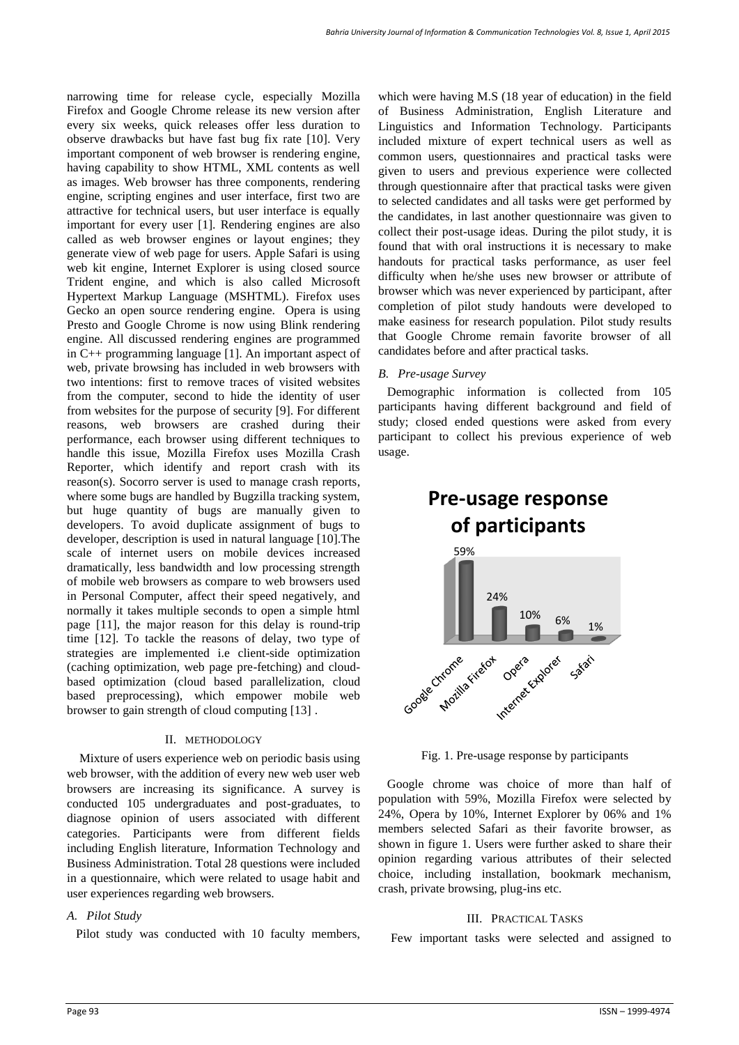narrowing time for release cycle, especially Mozilla Firefox and Google Chrome release its new version after every six weeks, quick releases offer less duration to observe drawbacks but have fast bug fix rate [10]. Very important component of web browser is rendering engine, having capability to show HTML, XML contents as well as images. Web browser has three components, rendering engine, scripting engines and user interface, first two are attractive for technical users, but user interface is equally important for every user [1]. Rendering engines are also called as web browser engines or layout engines; they generate view of web page for users. Apple Safari is using web kit engine, Internet Explorer is using closed source Trident engine, and which is also called Microsoft Hypertext Markup Language (MSHTML). Firefox uses Gecko an open source rendering engine. Opera is using Presto and Google Chrome is now using Blink rendering engine. All discussed rendering engines are programmed in C++ programming language [1]. An important aspect of web, private browsing has included in web browsers with two intentions: first to remove traces of visited websites from the computer, second to hide the identity of user from websites for the purpose of security [9]. For different reasons, web browsers are crashed during their performance, each browser using different techniques to handle this issue, Mozilla Firefox uses Mozilla Crash Reporter, which identify and report crash with its reason(s). Socorro server is used to manage crash reports, where some bugs are handled by Bugzilla tracking system, but huge quantity of bugs are manually given to developers. To avoid duplicate assignment of bugs to developer, description is used in natural language [10].The scale of internet users on mobile devices increased dramatically, less bandwidth and low processing strength of mobile web browsers as compare to web browsers used in Personal Computer, affect their speed negatively, and normally it takes multiple seconds to open a simple html page [11], the major reason for this delay is round-trip time [12]. To tackle the reasons of delay, two type of strategies are implemented i.e client-side optimization (caching optimization, web page pre-fetching) and cloudbased optimization (cloud based parallelization, cloud based preprocessing), which empower mobile web browser to gain strength of cloud computing [13] .

#### II. METHODOLOGY

Mixture of users experience web on periodic basis using web browser, with the addition of every new web user web browsers are increasing its significance. A survey is conducted 105 undergraduates and post-graduates, to diagnose opinion of users associated with different categories. Participants were from different fields including English literature, Information Technology and Business Administration. Total 28 questions were included in a questionnaire, which were related to usage habit and user experiences regarding web browsers.

## *A. Pilot Study*

Pilot study was conducted with 10 faculty members,

which were having M.S (18 year of education) in the field of Business Administration, English Literature and Linguistics and Information Technology. Participants included mixture of expert technical users as well as common users, questionnaires and practical tasks were given to users and previous experience were collected through questionnaire after that practical tasks were given to selected candidates and all tasks were get performed by the candidates, in last another questionnaire was given to collect their post-usage ideas. During the pilot study, it is found that with oral instructions it is necessary to make handouts for practical tasks performance, as user feel difficulty when he/she uses new browser or attribute of browser which was never experienced by participant, after completion of pilot study handouts were developed to make easiness for research population. Pilot study results that Google Chrome remain favorite browser of all candidates before and after practical tasks.

#### *B. Pre-usage Survey*

Demographic information is collected from 105 participants having different background and field of study; closed ended questions were asked from every participant to collect his previous experience of web usage.

# **Pre-usage response of participants**



Fig. 1. Pre-usage response by participants

Google chrome was choice of more than half of population with 59%, Mozilla Firefox were selected by 24%, Opera by 10%, Internet Explorer by 06% and 1% members selected Safari as their favorite browser, as shown in figure 1. Users were further asked to share their opinion regarding various attributes of their selected choice, including installation, bookmark mechanism, crash, private browsing, plug-ins etc.

#### III. PRACTICAL TASKS

Few important tasks were selected and assigned to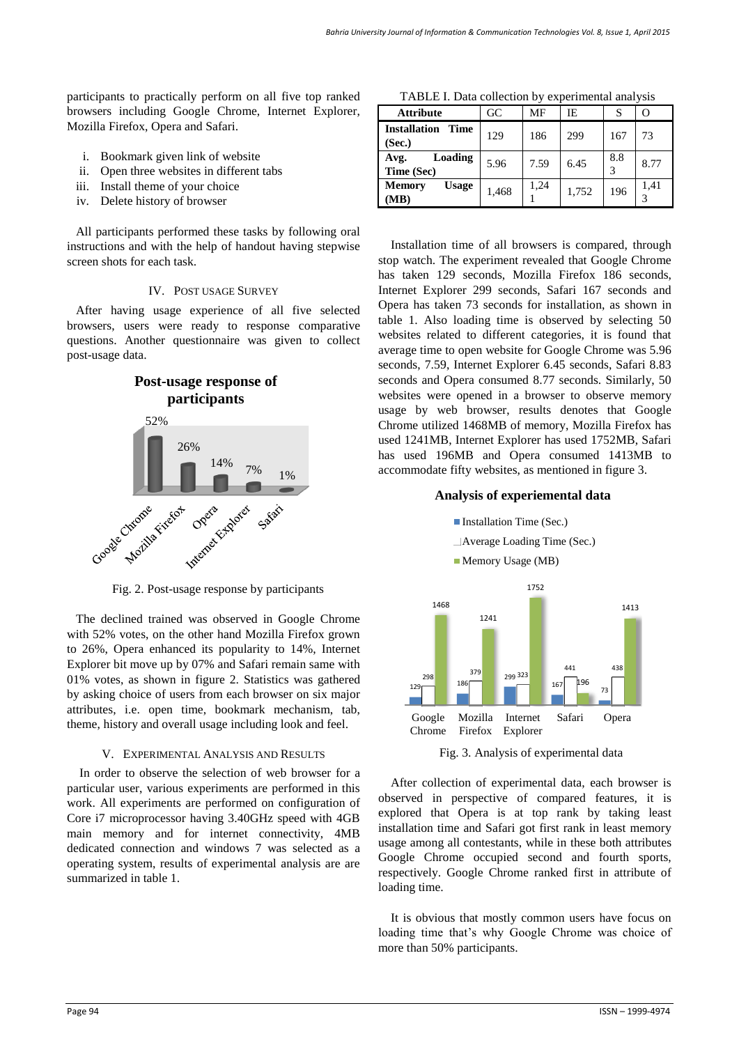participants to practically perform on all five top ranked browsers including Google Chrome, Internet Explorer, Mozilla Firefox, Opera and Safari.

- i. Bookmark given link of website
- ii. Open three websites in different tabs
- iii. Install theme of your choice
- iv. Delete history of browser

All participants performed these tasks by following oral instructions and with the help of handout having stepwise screen shots for each task.

#### IV. POST USAGE SURVEY

After having usage experience of all five selected browsers, users were ready to response comparative questions. Another questionnaire was given to collect post-usage data.





The declined trained was observed in Google Chrome with 52% votes, on the other hand Mozilla Firefox grown to 26%, Opera enhanced its popularity to 14%, Internet Explorer bit move up by 07% and Safari remain same with 01% votes, as shown in figure 2. Statistics was gathered by asking choice of users from each browser on six major attributes, i.e. open time, bookmark mechanism, tab, theme, history and overall usage including look and feel.

#### V. EXPERIMENTAL ANALYSIS AND RESULTS

In order to observe the selection of web browser for a particular user, various experiments are performed in this work. All experiments are performed on configuration of Core i7 microprocessor having 3.40GHz speed with 4GB main memory and for internet connectivity, 4MB dedicated connection and windows 7 was selected as a operating system, results of experimental analysis are are summarized in table 1.

TABLE I. Data collection by experimental analysis

| <b>Attribute</b>                     | GC    | MF   | IΕ    | S   |      |
|--------------------------------------|-------|------|-------|-----|------|
| <b>Installation Time</b><br>Sec.)    | 129   | 186  | 299   | 167 | 73   |
| Loading<br>Avg.<br>Time (Sec)        | 5.96  | 7.59 | 6.45  | 8.8 | 8.77 |
| <b>Memory</b><br><b>Usage</b><br>MB) | 1,468 | 1,24 | 1,752 | 196 | 1,41 |

Installation time of all browsers is compared, through stop watch. The experiment revealed that Google Chrome has taken 129 seconds, Mozilla Firefox 186 seconds, Internet Explorer 299 seconds, Safari 167 seconds and Opera has taken 73 seconds for installation, as shown in table 1. Also loading time is observed by selecting 50 websites related to different categories, it is found that average time to open website for Google Chrome was 5.96 seconds, 7.59, Internet Explorer 6.45 seconds, Safari 8.83 seconds and Opera consumed 8.77 seconds. Similarly, 50 websites were opened in a browser to observe memory usage by web browser, results denotes that Google Chrome utilized 1468MB of memory, Mozilla Firefox has used 1241MB, Internet Explorer has used 1752MB, Safari has used 196MB and Opera consumed 1413MB to accommodate fifty websites, as mentioned in figure 3.

### **Analysis of experiemental data**



Fig. 3. Analysis of experimental data

After collection of experimental data, each browser is observed in perspective of compared features, it is explored that Opera is at top rank by taking least installation time and Safari got first rank in least memory usage among all contestants, while in these both attributes Google Chrome occupied second and fourth sports, respectively. Google Chrome ranked first in attribute of loading time.

It is obvious that mostly common users have focus on loading time that's why Google Chrome was choice of more than 50% participants.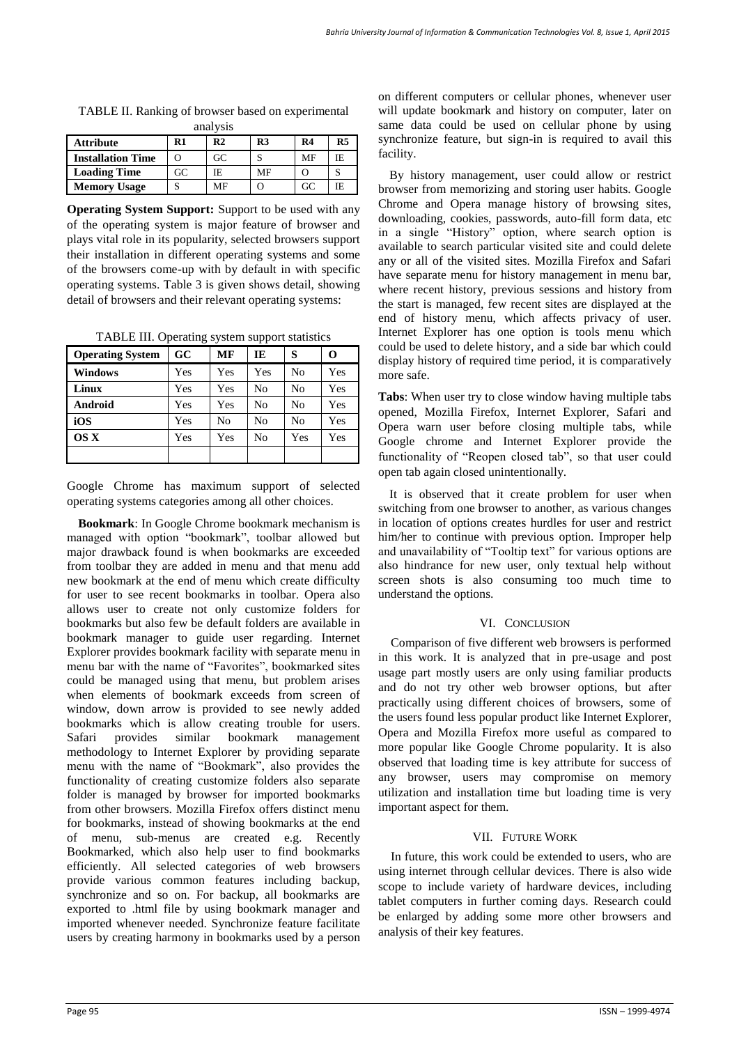| anai y 515               |    |                |                |    |                |  |  |
|--------------------------|----|----------------|----------------|----|----------------|--|--|
| <b>Attribute</b>         | R1 | R <sub>2</sub> | R <sub>3</sub> | R4 | R <sub>5</sub> |  |  |
| <b>Installation Time</b> | O  | GC             |                | MF | IE.            |  |  |
| <b>Loading Time</b>      | GC | IE.            | MF             |    |                |  |  |
| <b>Memory Usage</b>      |    | MF             |                | GC | IE             |  |  |

TABLE II. Ranking of browser based on experimental analysis

**Operating System Support:** Support to be used with any of the operating system is major feature of browser and plays vital role in its popularity, selected browsers support their installation in different operating systems and some of the browsers come-up with by default in with specific operating systems. Table 3 is given shows detail, showing detail of browsers and their relevant operating systems:

TABLE III. Operating system support statistics

| <b>Operating System</b> | GC  | MF  | IE             | S              | O   |
|-------------------------|-----|-----|----------------|----------------|-----|
| <b>Windows</b>          | Yes | Yes | Yes            | N <sub>0</sub> | Yes |
| Linux                   | Yes | Yes | No             | N <sub>0</sub> | Yes |
| Android                 | Yes | Yes | N <sub>0</sub> | N <sub>0</sub> | Yes |
| iOS                     | Yes | No  | No             | N <sub>0</sub> | Yes |
| OS X                    | Yes | Yes | No             | Yes            | Yes |
|                         |     |     |                |                |     |

Google Chrome has maximum support of selected operating systems categories among all other choices.

**Bookmark**: In Google Chrome bookmark mechanism is managed with option "bookmark", toolbar allowed but major drawback found is when bookmarks are exceeded from toolbar they are added in menu and that menu add new bookmark at the end of menu which create difficulty for user to see recent bookmarks in toolbar. Opera also allows user to create not only customize folders for bookmarks but also few be default folders are available in bookmark manager to guide user regarding. Internet Explorer provides bookmark facility with separate menu in menu bar with the name of "Favorites", bookmarked sites could be managed using that menu, but problem arises when elements of bookmark exceeds from screen of window, down arrow is provided to see newly added bookmarks which is allow creating trouble for users. Safari provides similar bookmark management methodology to Internet Explorer by providing separate menu with the name of "Bookmark", also provides the functionality of creating customize folders also separate folder is managed by browser for imported bookmarks from other browsers. Mozilla Firefox offers distinct menu for bookmarks, instead of showing bookmarks at the end of menu, sub-menus are created e.g. Recently Bookmarked, which also help user to find bookmarks efficiently. All selected categories of web browsers provide various common features including backup, synchronize and so on. For backup, all bookmarks are exported to .html file by using bookmark manager and imported whenever needed. Synchronize feature facilitate users by creating harmony in bookmarks used by a person on different computers or cellular phones, whenever user will update bookmark and history on computer, later on same data could be used on cellular phone by using synchronize feature, but sign-in is required to avail this facility.

By history management, user could allow or restrict browser from memorizing and storing user habits. Google Chrome and Opera manage history of browsing sites, downloading, cookies, passwords, auto-fill form data, etc in a single "History" option, where search option is available to search particular visited site and could delete any or all of the visited sites. Mozilla Firefox and Safari have separate menu for history management in menu bar, where recent history, previous sessions and history from the start is managed, few recent sites are displayed at the end of history menu, which affects privacy of user. Internet Explorer has one option is tools menu which could be used to delete history, and a side bar which could display history of required time period, it is comparatively more safe.

**Tabs**: When user try to close window having multiple tabs opened, Mozilla Firefox, Internet Explorer, Safari and Opera warn user before closing multiple tabs, while Google chrome and Internet Explorer provide the functionality of "Reopen closed tab", so that user could open tab again closed unintentionally.

It is observed that it create problem for user when switching from one browser to another, as various changes in location of options creates hurdles for user and restrict him/her to continue with previous option. Improper help and unavailability of "Tooltip text" for various options are also hindrance for new user, only textual help without screen shots is also consuming too much time to understand the options.

#### VI. CONCLUSION

Comparison of five different web browsers is performed in this work. It is analyzed that in pre-usage and post usage part mostly users are only using familiar products and do not try other web browser options, but after practically using different choices of browsers, some of the users found less popular product like Internet Explorer, Opera and Mozilla Firefox more useful as compared to more popular like Google Chrome popularity. It is also observed that loading time is key attribute for success of any browser, users may compromise on memory utilization and installation time but loading time is very important aspect for them.

#### VII. FUTURE WORK

In future, this work could be extended to users, who are using internet through cellular devices. There is also wide scope to include variety of hardware devices, including tablet computers in further coming days. Research could be enlarged by adding some more other browsers and analysis of their key features.